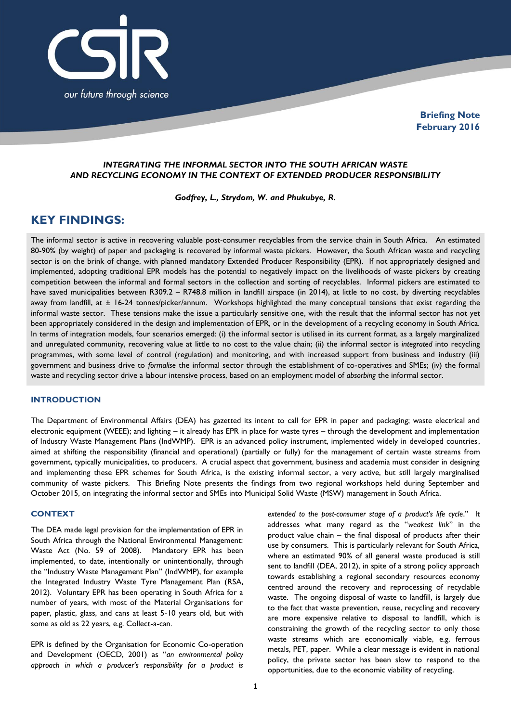

**Briefing Note February 2016**

# *INTEGRATING THE INFORMAL SECTOR INTO THE SOUTH AFRICAN WASTE AND RECYCLING ECONOMY IN THE CONTEXT OF EXTENDED PRODUCER RESPONSIBILITY*

*Godfrey, L., Strydom, W. and Phukubye, R.*

# **KEY FINDINGS:**

The informal sector is active in recovering valuable post-consumer recyclables from the service chain in South Africa. An estimated 80-90% (by weight) of paper and packaging is recovered by informal waste pickers. However, the South African waste and recycling sector is on the brink of change, with planned mandatory Extended Producer Responsibility (EPR). If not appropriately designed and implemented, adopting traditional EPR models has the potential to negatively impact on the livelihoods of waste pickers by creating competition between the informal and formal sectors in the collection and sorting of recyclables. Informal pickers are estimated to have saved municipalities between R309.2 - R748.8 million in landfill airspace (in 2014), at little to no cost, by diverting recyclables away from landfill, at  $\pm$  16-24 tonnes/picker/annum. Workshops highlighted the many conceptual tensions that exist regarding the informal waste sector. These tensions make the issue a particularly sensitive one, with the result that the informal sector has not yet been appropriately considered in the design and implementation of EPR, or in the development of a recycling economy in South Africa. In terms of integration models, four scenarios emerged: (i) the informal sector is utilised in its current format, as a largely marginalized and unregulated community, recovering value at little to no cost to the value chain; (ii) the informal sector is *integrated* into recycling programmes, with some level of control (regulation) and monitoring, and with increased support from business and industry (iii) government and business drive to *formalise* the informal sector through the establishment of co-operatives and SMEs; (iv) the formal waste and recycling sector drive a labour intensive process, based on an employment model of *absorbing* the informal sector.

# **INTRODUCTION**

The Department of Environmental Affairs (DEA) has gazetted its intent to call for EPR in paper and packaging; waste electrical and electronic equipment (WEEE); and lighting – it already has EPR in place for waste tyres – through the development and implementation of Industry Waste Management Plans (IndWMP). EPR is an advanced policy instrument, implemented widely in developed countries, aimed at shifting the responsibility (financial and operational) (partially or fully) for the management of certain waste streams from government, typically municipalities, to producers. A crucial aspect that government, business and academia must consider in designing and implementing these EPR schemes for South Africa, is the existing informal sector, a very active, but still largely marginalised community of waste pickers. This Briefing Note presents the findings from two regional workshops held during September and October 2015, on integrating the informal sector and SMEs into Municipal Solid Waste (MSW) management in South Africa.

# **CONTEXT**

The DEA made legal provision for the implementation of EPR in South Africa through the National Environmental Management: Waste Act (No. 59 of 2008). Mandatory EPR has been implemented, to date, intentionally or unintentionally, through the "Industry Waste Management Plan" (IndWMP), for example the Integrated Industry Waste Tyre Management Plan (RSA, 2012). Voluntary EPR has been operating in South Africa for a number of years, with most of the Material Organisations for paper, plastic, glass, and cans at least 5-10 years old, but with some as old as 22 years, e.g. Collect-a-can.

EPR is defined by the Organisation for Economic Co-operation and Development (OECD, 2001) as "*an environmental policy approach in which a producer's responsibility for a product is* 

*extended to the post-consumer stage of a product's life cycle*." It addresses what many regard as the "*weakest link*" in the product value chain – the final disposal of products after their use by consumers. This is particularly relevant for South Africa, where an estimated 90% of all general waste produced is still sent to landfill (DEA, 2012), in spite of a strong policy approach towards establishing a regional secondary resources economy centred around the recovery and reprocessing of recyclable waste. The ongoing disposal of waste to landfill, is largely due to the fact that waste prevention, reuse, recycling and recovery are more expensive relative to disposal to landfill, which is constraining the growth of the recycling sector to only those waste streams which are economically viable, e.g. ferrous metals, PET, paper. While a clear message is evident in national policy, the private sector has been slow to respond to the opportunities, due to the economic viability of recycling.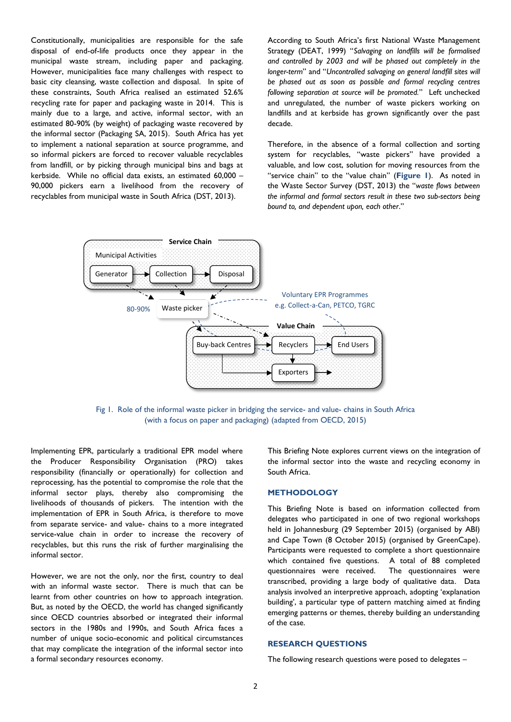Constitutionally, municipalities are responsible for the safe disposal of end-of-life products once they appear in the municipal waste stream, including paper and packaging. However, municipalities face many challenges with respect to basic city cleansing, waste collection and disposal. In spite of these constraints, South Africa realised an estimated 52.6% recycling rate for paper and packaging waste in 2014. This is mainly due to a large, and active, informal sector, with an estimated 80-90% (by weight) of packaging waste recovered by the informal sector (Packaging SA, 2015). South Africa has yet to implement a national separation at source programme, and so informal pickers are forced to recover valuable recyclables from landfill, or by picking through municipal bins and bags at kerbside. While no official data exists, an estimated 60,000 – 90,000 pickers earn a livelihood from the recovery of recyclables from municipal waste in South Africa (DST, 2013).

According to South Africa's first National Waste Management Strategy (DEAT, 1999) "*Salvaging on landfills will be formalised and controlled by 2003 and will be phased out completely in the longer-term*" and "*Uncontrolled salvaging on general landfill sites will be phased out as soon as possible and formal recycling centres following separation at source will be promoted.*" Left unchecked and unregulated, the number of waste pickers working on landfills and at kerbside has grown significantly over the past decade.

Therefore, in the absence of a formal collection and sorting system for recyclables, "waste pickers" have provided a valuable, and low cost, solution for moving resources from the "service chain" to the "value chain" (**Figure 1**). As noted in the Waste Sector Survey (DST, 2013) the "*waste flows between the informal and formal sectors result in these two sub-sectors being bound to, and dependent upon, each other*."



Fig 1. Role of the informal waste picker in bridging the service- and value- chains in South Africa (with a focus on paper and packaging) (adapted from OECD, 2015)

Implementing EPR, particularly a traditional EPR model where the Producer Responsibility Organisation (PRO) takes responsibility (financially or operationally) for collection and reprocessing, has the potential to compromise the role that the informal sector plays, thereby also compromising the livelihoods of thousands of pickers. The intention with the implementation of EPR in South Africa, is therefore to move from separate service- and value- chains to a more integrated service-value chain in order to increase the recovery of recyclables, but this runs the risk of further marginalising the informal sector.

However, we are not the only, nor the first, country to deal with an informal waste sector. There is much that can be learnt from other countries on how to approach integration. But, as noted by the OECD, the world has changed significantly since OECD countries absorbed or integrated their informal sectors in the 1980s and 1990s, and South Africa faces a number of unique socio-economic and political circumstances that may complicate the integration of the informal sector into a formal secondary resources economy.

This Briefing Note explores current views on the integration of the informal sector into the waste and recycling economy in South Africa.

### **METHODOLOGY**

This Briefing Note is based on information collected from delegates who participated in one of two regional workshops held in Johannesburg (29 September 2015) (organised by ABI) and Cape Town (8 October 2015) (organised by GreenCape). Participants were requested to complete a short questionnaire which contained five questions. A total of 88 completed questionnaires were received. The questionnaires were transcribed, providing a large body of qualitative data. Data analysis involved an interpretive approach, adopting 'explanation building', a particular type of pattern matching aimed at finding emerging patterns or themes, thereby building an understanding of the case.

### **RESEARCH QUESTIONS**

The following research questions were posed to delegates –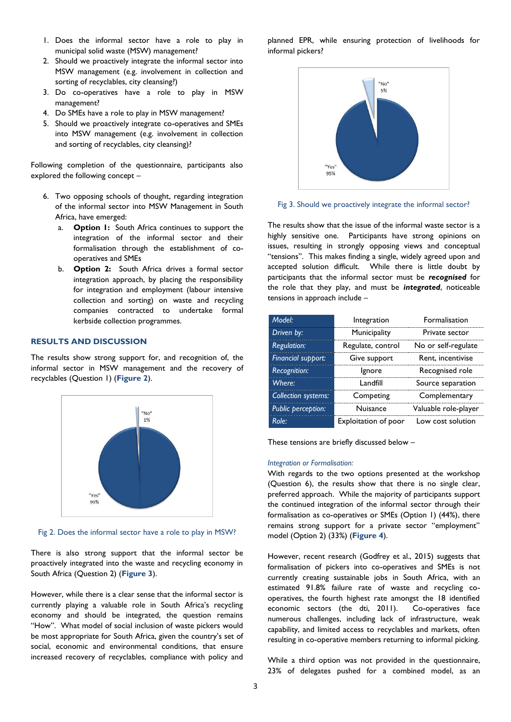- 1. Does the informal sector have a role to play in municipal solid waste (MSW) management?
- 2. Should we proactively integrate the informal sector into MSW management (e.g. involvement in collection and sorting of recyclables, city cleansing?)
- 3. Do co-operatives have a role to play in MSW management?
- 4. Do SMEs have a role to play in MSW management?
- 5. Should we proactively integrate co-operatives and SMEs into MSW management (e.g. involvement in collection and sorting of recyclables, city cleansing)?

Following completion of the questionnaire, participants also explored the following concept –

- 6. Two opposing schools of thought, regarding integration of the informal sector into MSW Management in South Africa, have emerged:
	- a. **Option 1:** South Africa continues to support the integration of the informal sector and their formalisation through the establishment of cooperatives and SMEs
	- b. **Option 2:** South Africa drives a formal sector integration approach, by placing the responsibility for integration and employment (labour intensive collection and sorting) on waste and recycling companies contracted to undertake formal kerbside collection programmes.

# **RESULTS AND DISCUSSION**

The results show strong support for, and recognition of, the informal sector in MSW management and the recovery of recyclables (Question 1) (**Figure 2**).



Fig 2. Does the informal sector have a role to play in MSW?

There is also strong support that the informal sector be proactively integrated into the waste and recycling economy in South Africa (Question 2) (**Figure 3**).

However, while there is a clear sense that the informal sector is currently playing a valuable role in South Africa's recycling economy and should be integrated, the question remains "How". What model of social inclusion of waste pickers would be most appropriate for South Africa, given the country's set of social, economic and environmental conditions, that ensure increased recovery of recyclables, compliance with policy and planned EPR, while ensuring protection of livelihoods for informal pickers?



Fig 3. Should we proactively integrate the informal sector?

The results show that the issue of the informal waste sector is a highly sensitive one. Participants have strong opinions on issues, resulting in strongly opposing views and conceptual "tensions". This makes finding a single, widely agreed upon and accepted solution difficult. While there is little doubt by participants that the informal sector must be *recognised* for the role that they play, and must be *integrated*, noticeable tensions in approach include –

| Model <sup>-</sup>         | Integration          | <b>Formalisation</b> |  |
|----------------------------|----------------------|----------------------|--|
| Driven by:                 | Municipality         | Private sector       |  |
| <b>Regulation:</b>         | Regulate, control    | No or self-regulate  |  |
| Financial support:         | Give support         | Rent. incentivise    |  |
| <b>Recognition:</b>        | Ignore               | Recognised role      |  |
| Where <sup>-</sup>         | l andfill            | Source separation    |  |
| <b>Collection systems:</b> | Competing            | Complementary        |  |
| <b>Public perception:</b>  | Nuisance             | Valuable role-player |  |
| Role∙                      | Exploitation of poor | Low cost solution    |  |

These tensions are briefly discussed below –

#### *Integration or Formalisation:*

With regards to the two options presented at the workshop (Question 6), the results show that there is no single clear, preferred approach. While the majority of participants support the continued integration of the informal sector through their formalisation as co-operatives or SMEs (Option 1) (44%), there remains strong support for a private sector "employment" model (Option 2) (33%) (**Figure 4**).

However, recent research (Godfrey et al., 2015) suggests that formalisation of pickers into co-operatives and SMEs is not currently creating sustainable jobs in South Africa, with an estimated 91.8% failure rate of waste and recycling cooperatives, the fourth highest rate amongst the 18 identified economic sectors (the dti, 2011). Co-operatives face numerous challenges, including lack of infrastructure, weak capability, and limited access to recyclables and markets, often resulting in co-operative members returning to informal picking.

While a third option was not provided in the questionnaire, 23% of delegates pushed for a combined model, as an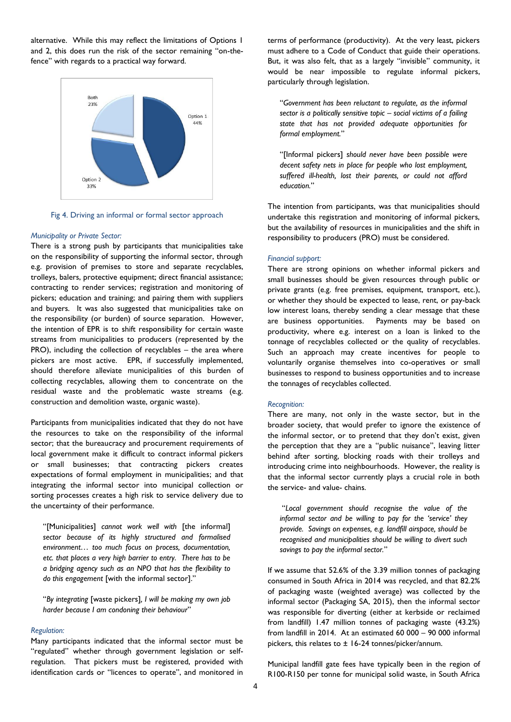alternative. While this may reflect the limitations of Options 1 and 2, this does run the risk of the sector remaining "on-thefence" with regards to a practical way forward.



Fig 4. Driving an informal or formal sector approach

#### *Municipality or Private Sector:*

There is a strong push by participants that municipalities take on the responsibility of supporting the informal sector, through e.g. provision of premises to store and separate recyclables, trolleys, balers, protective equipment; direct financial assistance; contracting to render services; registration and monitoring of pickers; education and training; and pairing them with suppliers and buyers. It was also suggested that municipalities take on the responsibility (or burden) of source separation. However, the intention of EPR is to shift responsibility for certain waste streams from municipalities to producers (represented by the PRO), including the collection of recyclables - the area where pickers are most active. EPR, if successfully implemented, should therefore alleviate municipalities of this burden of collecting recyclables, allowing them to concentrate on the residual waste and the problematic waste streams (e.g. construction and demolition waste, organic waste).

Participants from municipalities indicated that they do not have the resources to take on the responsibility of the informal sector; that the bureaucracy and procurement requirements of local government make it difficult to contract informal pickers or small businesses; that contracting pickers creates expectations of formal employment in municipalities; and that integrating the informal sector into municipal collection or sorting processes creates a high risk to service delivery due to the uncertainty of their performance.

"[Municipalities] *cannot work well with* [the informal] *sector because of its highly structured and formalised environment… too much focus on process, documentation, etc. that places a very high barrier to entry. There has to be a bridging agency such as an NPO that has the flexibility to do this engagement* [with the informal sector]."

"*By integrating* [waste pickers]*, I will be making my own job harder because I am condoning their behaviour*"

#### *Regulation:*

Many participants indicated that the informal sector must be "regulated" whether through government legislation or selfregulation. That pickers must be registered, provided with identification cards or "licences to operate", and monitored in

terms of performance (productivity). At the very least, pickers must adhere to a Code of Conduct that guide their operations. But, it was also felt, that as a largely "invisible" community, it would be near impossible to regulate informal pickers, particularly through legislation.

"*Government has been reluctant to regulate, as the informal sector is a politically sensitive topic – social victims of a failing state that has not provided adequate opportunities for formal employment.*"

"[Informal pickers] *should never have been possible were decent safety nets in place for people who lost employment, suffered ill-health, lost their parents, or could not afford education.*"

The intention from participants, was that municipalities should undertake this registration and monitoring of informal pickers, but the availability of resources in municipalities and the shift in responsibility to producers (PRO) must be considered.

#### *Financial support:*

There are strong opinions on whether informal pickers and small businesses should be given resources through public or private grants (e.g. free premises, equipment, transport, etc.), or whether they should be expected to lease, rent, or pay-back low interest loans, thereby sending a clear message that these are business opportunities. Payments may be based on productivity, where e.g. interest on a loan is linked to the tonnage of recyclables collected or the quality of recyclables. Such an approach may create incentives for people to voluntarily organise themselves into co-operatives or small businesses to respond to business opportunities and to increase the tonnages of recyclables collected.

#### *Recognition:*

There are many, not only in the waste sector, but in the broader society, that would prefer to ignore the existence of the informal sector, or to pretend that they don't exist, given the perception that they are a "public nuisance", leaving litter behind after sorting, blocking roads with their trolleys and introducing crime into neighbourhoods. However, the reality is that the informal sector currently plays a crucial role in both the service- and value- chains.

"*Local government should recognise the value of the informal sector and be willing to pay for the 'service' they provide. Savings on expenses, e.g. landfill airspace, should be recognised and municipalities should be willing to divert such savings to pay the informal sector.*"

If we assume that 52.6% of the 3.39 million tonnes of packaging consumed in South Africa in 2014 was recycled, and that 82.2% of packaging waste (weighted average) was collected by the informal sector (Packaging SA, 2015), then the informal sector was responsible for diverting (either at kerbside or reclaimed from landfill) 1.47 million tonnes of packaging waste (43.2%) from landfill in 2014. At an estimated 60 000 – 90 000 informal pickers, this relates to ± 16-24 tonnes/picker/annum.

Municipal landfill gate fees have typically been in the region of R100-R150 per tonne for municipal solid waste, in South Africa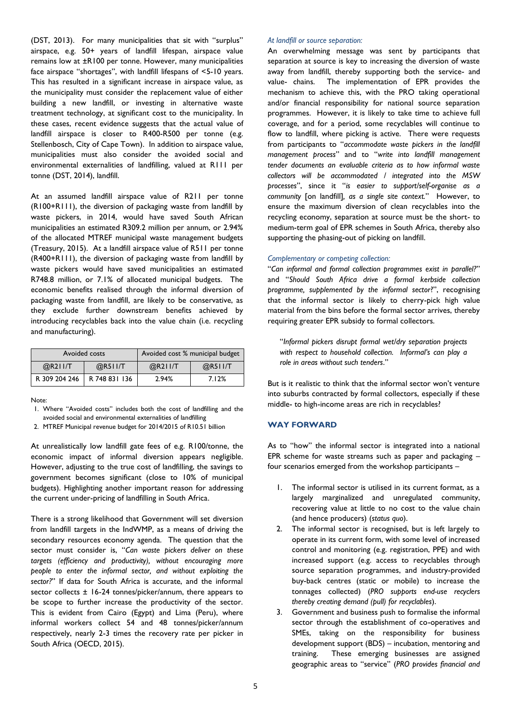(DST, 2013). For many municipalities that sit with "surplus" airspace, e.g. 50+ years of landfill lifespan, airspace value remains low at ±R100 per tonne. However, many municipalities face airspace "shortages", with landfill lifespans of <5-10 years. This has resulted in a significant increase in airspace value, as the municipality must consider the replacement value of either building a new landfill, or investing in alternative waste treatment technology, at significant cost to the municipality. In these cases, recent evidence suggests that the actual value of landfill airspace is closer to R400-R500 per tonne (e.g. Stellenbosch, City of Cape Town). In addition to airspace value, municipalities must also consider the avoided social and environmental externalities of landfilling, valued at R111 per tonne (DST, 2014), landfill.

At an assumed landfill airspace value of R211 per tonne (R100+R111), the diversion of packaging waste from landfill by waste pickers, in 2014, would have saved South African municipalities an estimated R309.2 million per annum, or 2.94% of the allocated MTREF municipal waste management budgets (Treasury, 2015). At a landfill airspace value of R511 per tonne (R400+R111), the diversion of packaging waste from landfill by waste pickers would have saved municipalities an estimated R748.8 million, or 7.1% of allocated municipal budgets. The economic benefits realised through the informal diversion of packaging waste from landfill, are likely to be conservative, as they exclude further downstream benefits achieved by introducing recyclables back into the value chain (i.e. recycling and manufacturing).

| Avoided costs |               | Avoided cost % municipal budget |         |  |
|---------------|---------------|---------------------------------|---------|--|
| $@$ R2II/T    | @R511/T       | $@$ R2II/T                      | @R511/T |  |
| R 309 204 246 | R 748 831 136 | 2.94%                           | 7.12%   |  |

Note:

1. Where "Avoided costs" includes both the cost of landfilling and the avoided social and environmental externalities of landfilling

2. MTREF Municipal revenue budget for 2014/2015 of R10.51 billion

At unrealistically low landfill gate fees of e.g. R100/tonne, the economic impact of informal diversion appears negligible. However, adjusting to the true cost of landfilling, the savings to government becomes significant (close to 10% of municipal budgets). Highlighting another important reason for addressing the current under-pricing of landfilling in South Africa.

There is a strong likelihood that Government will set diversion from landfill targets in the IndWMP, as a means of driving the secondary resources economy agenda. The question that the sector must consider is, "*Can waste pickers deliver on these targets (efficiency and productivity), without encouraging more people to enter the informal sector, and without exploiting the sector?*" If data for South Africa is accurate, and the informal sector collects  $\pm$  16-24 tonnes/picker/annum, there appears to be scope to further increase the productivity of the sector. This is evident from Cairo (Egypt) and Lima (Peru), where informal workers collect 54 and 48 tonnes/picker/annum respectively, nearly 2-3 times the recovery rate per picker in South Africa (OECD, 2015).

### *At landfill or source separation:*

An overwhelming message was sent by participants that separation at source is key to increasing the diversion of waste away from landfill, thereby supporting both the service- and value- chains. The implementation of EPR provides the mechanism to achieve this, with the PRO taking operational and/or financial responsibility for national source separation programmes. However, it is likely to take time to achieve full coverage, and for a period, some recyclables will continue to flow to landfill, where picking is active. There were requests from participants to "*accommodate waste pickers in the landfill management process*" and to "*write into landfill management tender documents an evaluable criteria as to how informal waste collectors will be accommodated / integrated into the MSW processes*", since it "*is easier to support/self-organise as a community* [on landfill]*, as a single site context.*" However, to ensure the maximum diversion of clean recyclables into the recycling economy, separation at source must be the short- to medium-term goal of EPR schemes in South Africa, thereby also supporting the phasing-out of picking on landfill.

### *Complementary or competing collection:*

"*Can informal and formal collection programmes exist in parallel?*" and "*Should South Africa drive a formal kerbside collection programme, supplemented by the informal sector*?", recognising that the informal sector is likely to cherry-pick high value material from the bins before the formal sector arrives, thereby requiring greater EPR subsidy to formal collectors.

"*Informal pickers disrupt formal wet/dry separation projects with respect to household collection. Informal's can play a role in areas without such tenders*."

But is it realistic to think that the informal sector won't venture into suburbs contracted by formal collectors, especially if these middle- to high-income areas are rich in recyclables?

# **WAY FORWARD**

As to "how" the informal sector is integrated into a national EPR scheme for waste streams such as paper and packaging – four scenarios emerged from the workshop participants –

- 1. The informal sector is utilised in its current format, as a largely marginalized and unregulated community, recovering value at little to no cost to the value chain (and hence producers) (*status quo*).
- 2. The informal sector is recognised, but is left largely to operate in its current form, with some level of increased control and monitoring (e.g. registration, PPE) and with increased support (e.g. access to recyclables through source separation programmes, and industry-provided buy-back centres (static or mobile) to increase the tonnages collected) (*PRO supports end-use recyclers thereby creating demand (pull) for recyclables*).
- 3. Government and business push to formalise the informal sector through the establishment of co-operatives and SMEs, taking on the responsibility for business development support (BDS) – incubation, mentoring and training. These emerging businesses are assigned geographic areas to "service" (*PRO provides financial and*